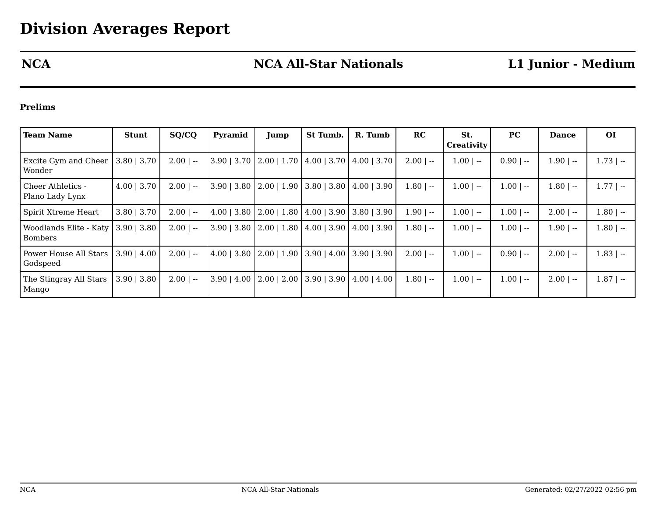# **NCA NCA All-Star Nationals L1 Junior - Medium**

## **Prelims**

| <b>Team Name</b>                         | <b>Stunt</b>     | SQ/CQ                                                  | Pyramid               | Jump                                      | St Tumb.                               | R. Tumb | RC          | St.<br><b>Creativity</b> | <b>PC</b>   | <b>Dance</b> | <b>OI</b>    |
|------------------------------------------|------------------|--------------------------------------------------------|-----------------------|-------------------------------------------|----------------------------------------|---------|-------------|--------------------------|-------------|--------------|--------------|
| <b>Excite Gym and Cheer</b><br>Wonder    | $3.80$   $3.70$  | $2.00$   --                                            | $3.90 \mid 3.70 \mid$ | $2.00$   1.70                             | $4.00 \mid 3.70 \mid 4.00 \mid 3.70$   |         | $2.00$   -- | $1.00$   --              | $0.90$   -- | $1.90$   --  | $1.73$   $-$ |
| Cheer Athletics -<br>Plano Lady Lynx     | $4.00 \mid 3.70$ | $2.00$   --                                            | $3.90 \mid 3.80 \mid$ | $2.00$   1.90   3.80   3.80   4.00   3.90 |                                        |         | $1.80$   -- | $1.00$   --              | $1.00$   -- | $1.80$   --  | $1.77$   --  |
| Spirit Xtreme Heart                      | $3.80$   $3.70$  | 2.00<br>$\hspace{0.1mm}-\hspace{0.1mm}-\hspace{0.1mm}$ |                       | $4.00$   3.80   2.00   1.80               | $14.00$   3.90   3.80   3.90           |         | $1.90 -$    | $1.00$   --              | $1.00$   -- | $2.00$   --  | $1.80$   --  |
| Woodlands Elite - Katy<br><b>Bombers</b> | $3.90 \mid 3.80$ | $2.00$   --                                            | $3.90$   3.80         | $2.00$   1.80                             | $(4.00 \mid 3.90 \mid 4.00 \mid 3.90)$ |         | $1.80$   -- | $1.00$   --              | $1.00$   -- | $1.90$   --  | $1.80$   --  |
| Power House All Stars<br>Godspeed        | $3.90 \mid 4.00$ | $2.00$   --                                            | $4.00$   3.80         | $2.00$   1.90   3.90   4.00   3.90   3.90 |                                        |         | $2.00$   -- | $1.00$   --              | $0.90$   -- | $2.00$   --  | $1.83$   --  |
| The Stingray All Stars<br>Mango          | $3.90 \mid 3.80$ | $2.00$   --                                            | $3.90 \mid 4.00$      | $2.00$   $2.00$                           | $3.90 \mid 3.90 \mid 4.00 \mid 4.00$   |         | $1.80$   -- | $1.00$   --              | $1.00$   -- | $2.00$   --  | $1.87$   --  |